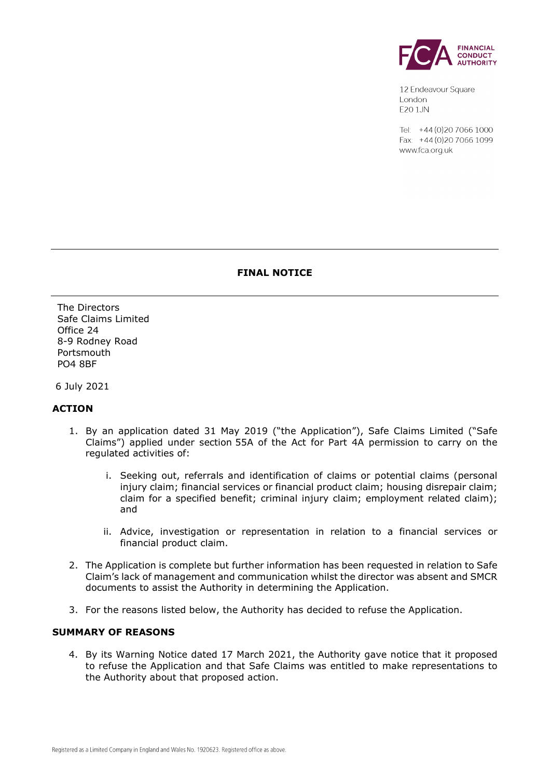

12 Endeavour Square London E201JN

Tel: +44 (0) 20 7066 1000 Fax: +44 (0) 20 7066 1099 www.fca.org.uk

# **FINAL NOTICE**

The Directors Safe Claims Limited Office 24 8-9 Rodney Road Portsmouth PO4 8BF

6 July 2021

## **ACTION**

- 1. By an application dated 31 May 2019 ("the Application"), Safe Claims Limited ("Safe Claims") applied under section 55A of the Act for Part 4A permission to carry on the regulated activities of:
	- i. Seeking out, referrals and identification of claims or potential claims (personal injury claim; financial services or financial product claim; housing disrepair claim; claim for a specified benefit; criminal injury claim; employment related claim); and
	- ii. Advice, investigation or representation in relation to a financial services or financial product claim.
- 2. The Application is complete but further information has been requested in relation to Safe Claim's lack of management and communication whilst the director was absent and SMCR documents to assist the Authority in determining the Application.
- 3. For the reasons listed below, the Authority has decided to refuse the Application.

## **SUMMARY OF REASONS**

4. By its Warning Notice dated 17 March 2021, the Authority gave notice that it proposed to refuse the Application and that Safe Claims was entitled to make representations to the Authority about that proposed action.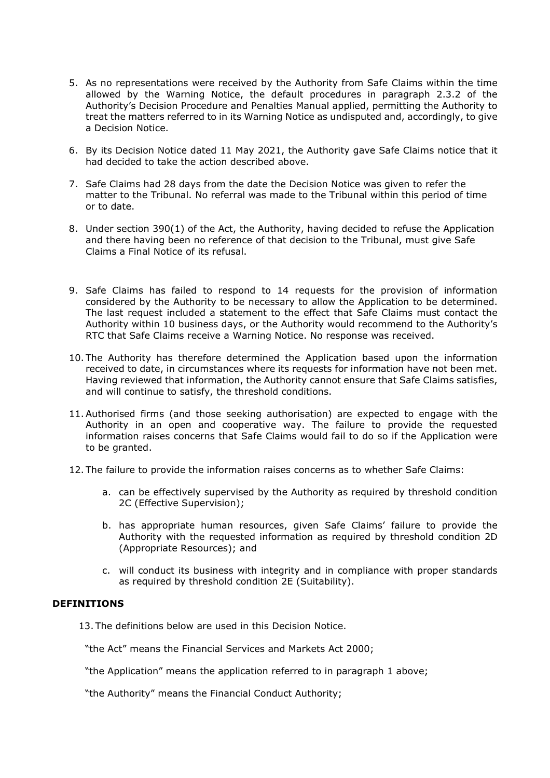- 5. As no representations were received by the Authority from Safe Claims within the time allowed by the Warning Notice, the default procedures in paragraph 2.3.2 of the Authority's Decision Procedure and Penalties Manual applied, permitting the Authority to treat the matters referred to in its Warning Notice as undisputed and, accordingly, to give a Decision Notice.
- 6. By its Decision Notice dated 11 May 2021, the Authority gave Safe Claims notice that it had decided to take the action described above.
- 7. Safe Claims had 28 days from the date the Decision Notice was given to refer the matter to the Tribunal. No referral was made to the Tribunal within this period of time or to date.
- 8. Under section 390(1) of the Act, the Authority, having decided to refuse the Application and there having been no reference of that decision to the Tribunal, must give Safe Claims a Final Notice of its refusal.
- 9. Safe Claims has failed to respond to 14 requests for the provision of information considered by the Authority to be necessary to allow the Application to be determined. The last request included a statement to the effect that Safe Claims must contact the Authority within 10 business days, or the Authority would recommend to the Authority's RTC that Safe Claims receive a Warning Notice. No response was received.
- 10. The Authority has therefore determined the Application based upon the information received to date, in circumstances where its requests for information have not been met. Having reviewed that information, the Authority cannot ensure that Safe Claims satisfies, and will continue to satisfy, the threshold conditions.
- 11.Authorised firms (and those seeking authorisation) are expected to engage with the Authority in an open and cooperative way. The failure to provide the requested information raises concerns that Safe Claims would fail to do so if the Application were to be granted.
- 12. The failure to provide the information raises concerns as to whether Safe Claims:
	- a. can be effectively supervised by the Authority as required by threshold condition 2C (Effective Supervision);
	- b. has appropriate human resources, given Safe Claims' failure to provide the Authority with the requested information as required by threshold condition 2D (Appropriate Resources); and
	- c. will conduct its business with integrity and in compliance with proper standards as required by threshold condition 2E (Suitability).

## **DEFINITIONS**

13. The definitions below are used in this Decision Notice.

"the Act" means the Financial Services and Markets Act 2000;

"the Application" means the application referred to in paragraph 1 above;

"the Authority" means the Financial Conduct Authority;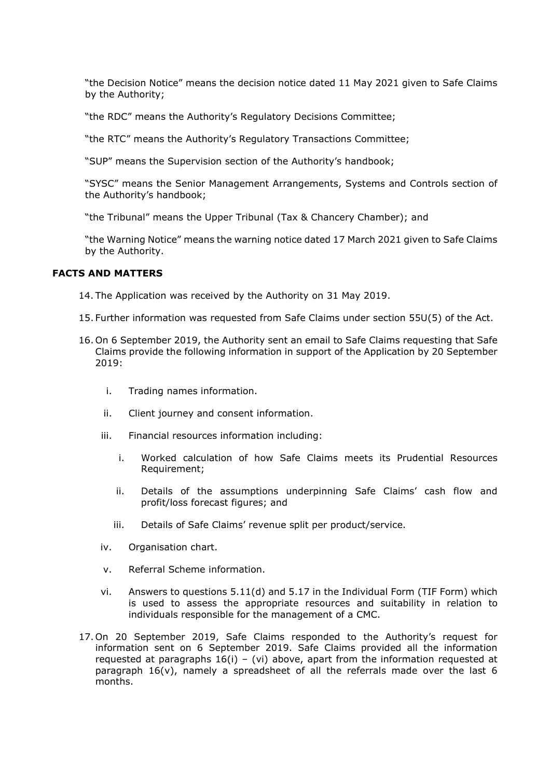"the Decision Notice" means the decision notice dated 11 May 2021 given to Safe Claims by the Authority;

"the RDC" means the Authority's Regulatory Decisions Committee;

"the RTC" means the Authority's Regulatory Transactions Committee;

"SUP" means the Supervision section of the Authority's handbook;

"SYSC" means the Senior Management Arrangements, Systems and Controls section of the Authority's handbook;

"the Tribunal" means the Upper Tribunal (Tax & Chancery Chamber); and

"the Warning Notice" means the warning notice dated 17 March 2021 given to Safe Claims by the Authority.

## **FACTS AND MATTERS**

- 14. The Application was received by the Authority on 31 May 2019.
- 15. Further information was requested from Safe Claims under section 55U(5) of the Act.
- 16. On 6 September 2019, the Authority sent an email to Safe Claims requesting that Safe Claims provide the following information in support of the Application by 20 September 2019:
	- i. Trading names information.
	- ii. Client journey and consent information.
	- iii. Financial resources information including:
		- i. Worked calculation of how Safe Claims meets its Prudential Resources Requirement;
		- ii. Details of the assumptions underpinning Safe Claims' cash flow and profit/loss forecast figures; and
		- iii. Details of Safe Claims' revenue split per product/service.
	- iv. Organisation chart.
	- v. Referral Scheme information.
	- vi. Answers to questions  $5.11(d)$  and  $5.17$  in the Individual Form (TIF Form) which is used to assess the appropriate resources and suitability in relation to individuals responsible for the management of a CMC.
- 17.On 20 September 2019, Safe Claims responded to the Authority's request for information sent on 6 September 2019. Safe Claims provided all the information requested at paragraphs  $16(i) - (vi)$  above, apart from the information requested at paragraph 16(v), namely a spreadsheet of all the referrals made over the last 6 months.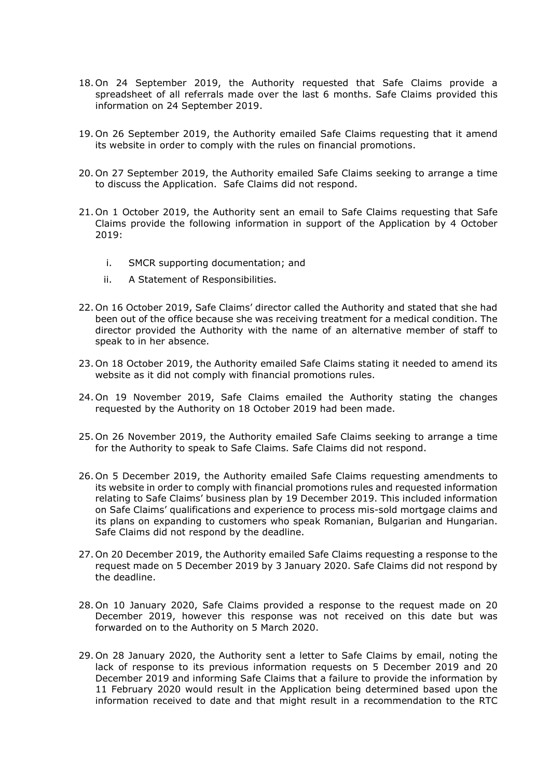- 18.On 24 September 2019, the Authority requested that Safe Claims provide a spreadsheet of all referrals made over the last 6 months. Safe Claims provided this information on 24 September 2019.
- 19. On 26 September 2019, the Authority emailed Safe Claims requesting that it amend its website in order to comply with the rules on financial promotions.
- 20. On 27 September 2019, the Authority emailed Safe Claims seeking to arrange a time to discuss the Application. Safe Claims did not respond.
- 21.On 1 October 2019, the Authority sent an email to Safe Claims requesting that Safe Claims provide the following information in support of the Application by 4 October 2019:
	- i. SMCR supporting documentation; and
	- ii. A Statement of Responsibilities.
- 22. On 16 October 2019, Safe Claims' director called the Authority and stated that she had been out of the office because she was receiving treatment for a medical condition. The director provided the Authority with the name of an alternative member of staff to speak to in her absence.
- 23. On 18 October 2019, the Authority emailed Safe Claims stating it needed to amend its website as it did not comply with financial promotions rules.
- 24. On 19 November 2019, Safe Claims emailed the Authority stating the changes requested by the Authority on 18 October 2019 had been made.
- 25. On 26 November 2019, the Authority emailed Safe Claims seeking to arrange a time for the Authority to speak to Safe Claims. Safe Claims did not respond.
- 26. On 5 December 2019, the Authority emailed Safe Claims requesting amendments to its website in order to comply with financial promotions rules and requested information relating to Safe Claims' business plan by 19 December 2019. This included information on Safe Claims' qualifications and experience to process mis-sold mortgage claims and its plans on expanding to customers who speak Romanian, Bulgarian and Hungarian. Safe Claims did not respond by the deadline.
- 27. On 20 December 2019, the Authority emailed Safe Claims requesting a response to the request made on 5 December 2019 by 3 January 2020. Safe Claims did not respond by the deadline.
- 28. On 10 January 2020, Safe Claims provided a response to the request made on 20 December 2019, however this response was not received on this date but was forwarded on to the Authority on 5 March 2020.
- 29. On 28 January 2020, the Authority sent a letter to Safe Claims by email, noting the lack of response to its previous information requests on 5 December 2019 and 20 December 2019 and informing Safe Claims that a failure to provide the information by 11 February 2020 would result in the Application being determined based upon the information received to date and that might result in a recommendation to the RTC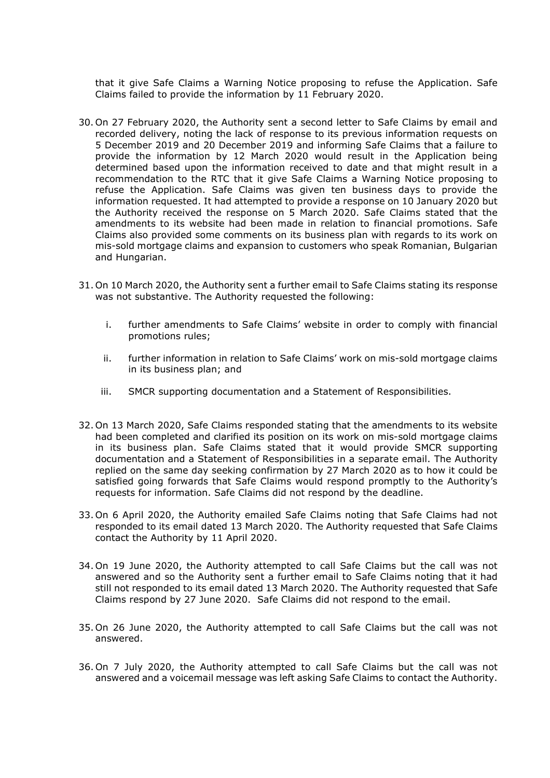that it give Safe Claims a Warning Notice proposing to refuse the Application. Safe Claims failed to provide the information by 11 February 2020.

- 30. On 27 February 2020, the Authority sent a second letter to Safe Claims by email and recorded delivery, noting the lack of response to its previous information requests on 5 December 2019 and 20 December 2019 and informing Safe Claims that a failure to provide the information by 12 March 2020 would result in the Application being determined based upon the information received to date and that might result in a recommendation to the RTC that it give Safe Claims a Warning Notice proposing to refuse the Application. Safe Claims was given ten business days to provide the information requested. It had attempted to provide a response on 10 January 2020 but the Authority received the response on 5 March 2020. Safe Claims stated that the amendments to its website had been made in relation to financial promotions. Safe Claims also provided some comments on its business plan with regards to its work on mis-sold mortgage claims and expansion to customers who speak Romanian, Bulgarian and Hungarian.
- 31. On 10 March 2020, the Authority sent a further email to Safe Claims stating its response was not substantive. The Authority requested the following:
	- i. further amendments to Safe Claims' website in order to comply with financial promotions rules;
	- ii. further information in relation to Safe Claims' work on mis-sold mortgage claims in its business plan; and
	- iii. SMCR supporting documentation and a Statement of Responsibilities.
- 32. On 13 March 2020, Safe Claims responded stating that the amendments to its website had been completed and clarified its position on its work on mis-sold mortgage claims in its business plan. Safe Claims stated that it would provide SMCR supporting documentation and a Statement of Responsibilities in a separate email. The Authority replied on the same day seeking confirmation by 27 March 2020 as to how it could be satisfied going forwards that Safe Claims would respond promptly to the Authority's requests for information. Safe Claims did not respond by the deadline.
- 33. On 6 April 2020, the Authority emailed Safe Claims noting that Safe Claims had not responded to its email dated 13 March 2020. The Authority requested that Safe Claims contact the Authority by 11 April 2020.
- 34. On 19 June 2020, the Authority attempted to call Safe Claims but the call was not answered and so the Authority sent a further email to Safe Claims noting that it had still not responded to its email dated 13 March 2020. The Authority requested that Safe Claims respond by 27 June 2020. Safe Claims did not respond to the email.
- 35. On 26 June 2020, the Authority attempted to call Safe Claims but the call was not answered.
- 36. On 7 July 2020, the Authority attempted to call Safe Claims but the call was not answered and a voicemail message was left asking Safe Claims to contact the Authority.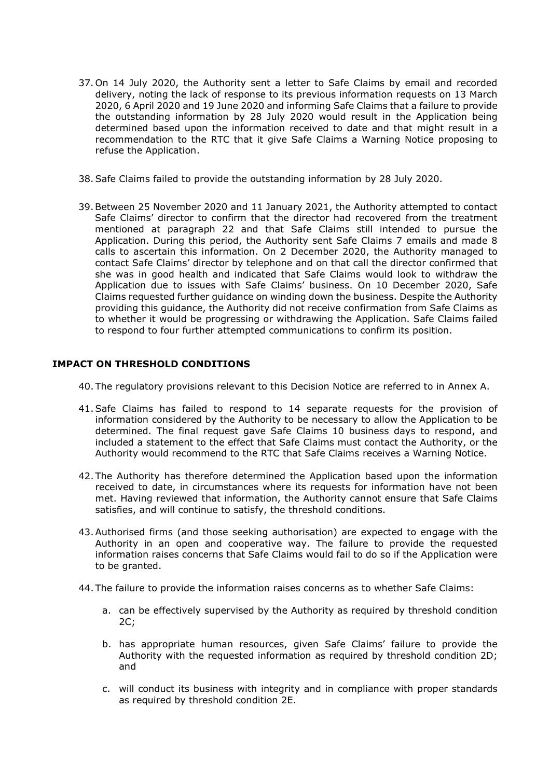- 37. On 14 July 2020, the Authority sent a letter to Safe Claims by email and recorded delivery, noting the lack of response to its previous information requests on 13 March 2020, 6 April 2020 and 19 June 2020 and informing Safe Claims that a failure to provide the outstanding information by 28 July 2020 would result in the Application being determined based upon the information received to date and that might result in a recommendation to the RTC that it give Safe Claims a Warning Notice proposing to refuse the Application.
- 38.Safe Claims failed to provide the outstanding information by 28 July 2020.
- 39.Between 25 November 2020 and 11 January 2021, the Authority attempted to contact Safe Claims' director to confirm that the director had recovered from the treatment mentioned at paragraph 22 and that Safe Claims still intended to pursue the Application. During this period, the Authority sent Safe Claims 7 emails and made 8 calls to ascertain this information. On 2 December 2020, the Authority managed to contact Safe Claims' director by telephone and on that call the director confirmed that she was in good health and indicated that Safe Claims would look to withdraw the Application due to issues with Safe Claims' business. On 10 December 2020, Safe Claims requested further guidance on winding down the business. Despite the Authority providing this guidance, the Authority did not receive confirmation from Safe Claims as to whether it would be progressing or withdrawing the Application. Safe Claims failed to respond to four further attempted communications to confirm its position.

## **IMPACT ON THRESHOLD CONDITIONS**

- 40. The regulatory provisions relevant to this Decision Notice are referred to in Annex A.
- 41.Safe Claims has failed to respond to 14 separate requests for the provision of information considered by the Authority to be necessary to allow the Application to be determined. The final request gave Safe Claims 10 business days to respond, and included a statement to the effect that Safe Claims must contact the Authority, or the Authority would recommend to the RTC that Safe Claims receives a Warning Notice.
- 42. The Authority has therefore determined the Application based upon the information received to date, in circumstances where its requests for information have not been met. Having reviewed that information, the Authority cannot ensure that Safe Claims satisfies, and will continue to satisfy, the threshold conditions.
- 43.Authorised firms (and those seeking authorisation) are expected to engage with the Authority in an open and cooperative way. The failure to provide the requested information raises concerns that Safe Claims would fail to do so if the Application were to be granted.
- 44. The failure to provide the information raises concerns as to whether Safe Claims:
	- a. can be effectively supervised by the Authority as required by threshold condition 2C;
	- b. has appropriate human resources, given Safe Claims' failure to provide the Authority with the requested information as required by threshold condition 2D; and
	- c. will conduct its business with integrity and in compliance with proper standards as required by threshold condition 2E.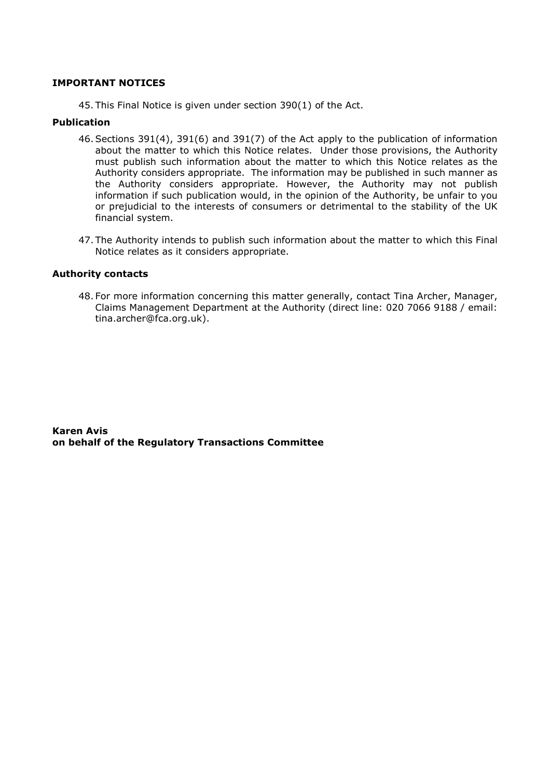## **IMPORTANT NOTICES**

45. This Final Notice is given under section 390(1) of the Act.

#### **Publication**

- 46.Sections 391(4), 391(6) and 391(7) of the Act apply to the publication of information about the matter to which this Notice relates. Under those provisions, the Authority must publish such information about the matter to which this Notice relates as the Authority considers appropriate. The information may be published in such manner as the Authority considers appropriate. However, the Authority may not publish information if such publication would, in the opinion of the Authority, be unfair to you or prejudicial to the interests of consumers or detrimental to the stability of the UK financial system.
- 47. The Authority intends to publish such information about the matter to which this Final Notice relates as it considers appropriate.

#### **Authority contacts**

48. For more information concerning this matter generally, contact Tina Archer, Manager, Claims Management Department at the Authority (direct line: 020 7066 9188 / email: tina.archer@fca.org.uk).

**Karen Avis on behalf of the Regulatory Transactions Committee**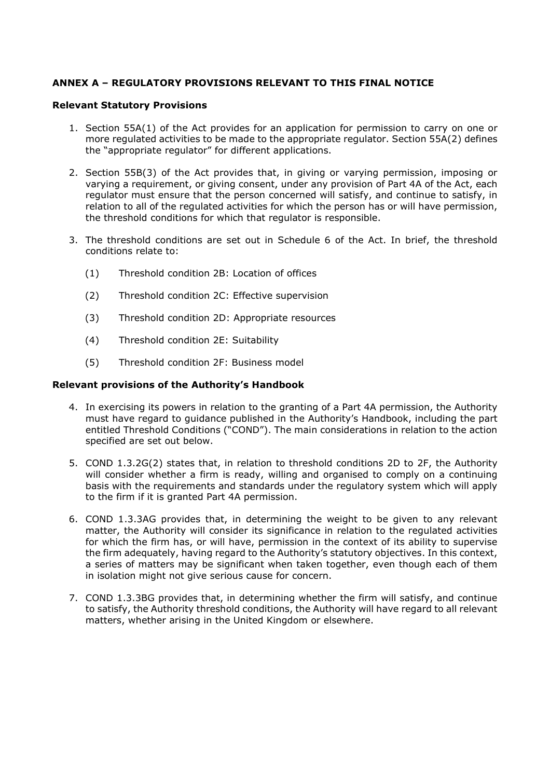## **ANNEX A – REGULATORY PROVISIONS RELEVANT TO THIS FINAL NOTICE**

### **Relevant Statutory Provisions**

- 1. Section 55A(1) of the Act provides for an application for permission to carry on one or more regulated activities to be made to the appropriate regulator. Section 55A(2) defines the "appropriate regulator" for different applications.
- 2. Section 55B(3) of the Act provides that, in giving or varying permission, imposing or varying a requirement, or giving consent, under any provision of Part 4A of the Act, each regulator must ensure that the person concerned will satisfy, and continue to satisfy, in relation to all of the regulated activities for which the person has or will have permission, the threshold conditions for which that regulator is responsible.
- 3. The threshold conditions are set out in Schedule 6 of the Act. In brief, the threshold conditions relate to:
	- (1) Threshold condition 2B: Location of offices
	- (2) Threshold condition 2C: Effective supervision
	- (3) Threshold condition 2D: Appropriate resources
	- (4) Threshold condition 2E: Suitability
	- (5) Threshold condition 2F: Business model

## **Relevant provisions of the Authority's Handbook**

- 4. In exercising its powers in relation to the granting of a Part 4A permission, the Authority must have regard to guidance published in the Authority's Handbook, including the part entitled Threshold Conditions ("COND"). The main considerations in relation to the action specified are set out below.
- 5. COND 1.3.2G(2) states that, in relation to threshold conditions 2D to 2F, the Authority will consider whether a firm is ready, willing and organised to comply on a continuing basis with the requirements and standards under the regulatory system which will apply to the firm if it is granted Part 4A permission.
- 6. COND 1.3.3AG provides that, in determining the weight to be given to any relevant matter, the Authority will consider its significance in relation to the regulated activities for which the firm has, or will have, permission in the context of its ability to supervise the firm adequately, having regard to the Authority's statutory objectives. In this context, a series of matters may be significant when taken together, even though each of them in isolation might not give serious cause for concern.
- 7. COND 1.3.3BG provides that, in determining whether the firm will satisfy, and continue to satisfy, the Authority threshold conditions, the Authority will have regard to all relevant matters, whether arising in the United Kingdom or elsewhere.